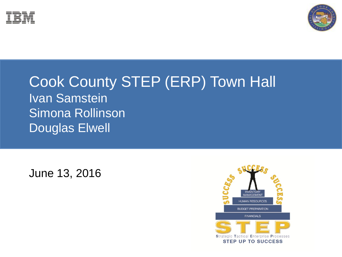



#### Cook County STEP (ERP) Town Hall Ivan Samstein Simona Rollinson Douglas Elwell

June 13, 2016

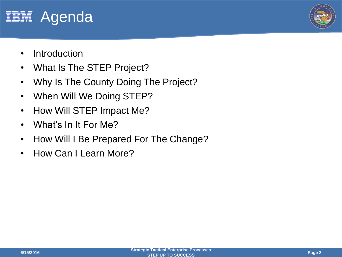



- Introduction
- What Is The STEP Project?
- Why Is The County Doing The Project?
- When Will We Doing STEP?
- How Will STEP Impact Me?
- What's In It For Me?
- How Will I Be Prepared For The Change?
- How Can I Learn More?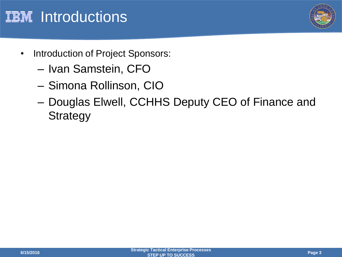



- Introduction of Project Sponsors:
	- Ivan Samstein, CFO
	- Simona Rollinson, CIO
	- Douglas Elwell, CCHHS Deputy CEO of Finance and **Strategy**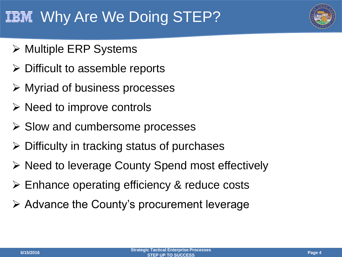## IBN Why Are We Doing STEP?

- **≻ Multiple ERP Systems**
- $\triangleright$  Difficult to assemble reports
- Myriad of business processes
- $\triangleright$  Need to improve controls
- $\triangleright$  Slow and cumbersome processes
- $\triangleright$  Difficulty in tracking status of purchases
- $\triangleright$  Need to leverage County Spend most effectively
- Enhance operating efficiency & reduce costs
- $\triangleright$  Advance the County's procurement leverage

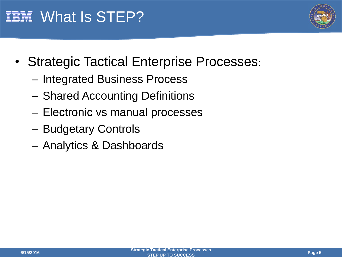



- Strategic Tactical Enterprise Processes:
	- Integrated Business Process
	- Shared Accounting Definitions
	- Electronic vs manual processes
	- Budgetary Controls
	- Analytics & Dashboards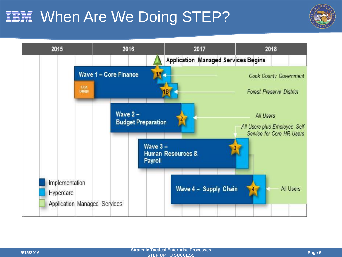## **IBM When Are We Doing STEP?**



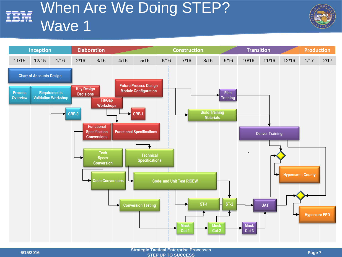#### When Are We Doing STEP? **EM** Wave 1



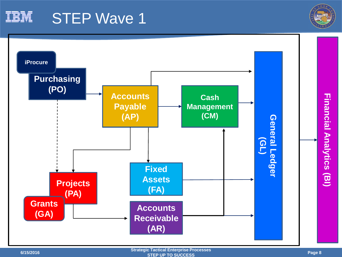

### STEP Wave 1



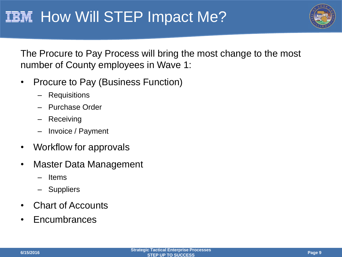

The Procure to Pay Process will bring the most change to the most number of County employees in Wave 1:

- Procure to Pay (Business Function)
	- **Requisitions**
	- Purchase Order
	- Receiving
	- Invoice / Payment
- Workflow for approvals
- Master Data Management
	- **ltems**
	- Suppliers
- Chart of Accounts
- Encumbrances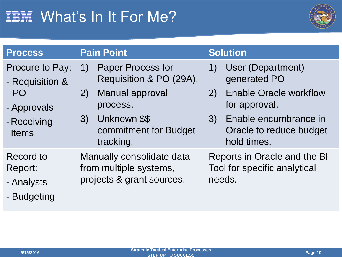

| <b>Process</b>                                                                                | <b>Pain Point</b>                                                                                                                                                                              | <b>Solution</b>                                                                                                                                                                         |  |  |  |
|-----------------------------------------------------------------------------------------------|------------------------------------------------------------------------------------------------------------------------------------------------------------------------------------------------|-----------------------------------------------------------------------------------------------------------------------------------------------------------------------------------------|--|--|--|
| Procure to Pay:<br>- Requisition &<br><b>PO</b><br>- Approvals<br>- Receiving<br><b>Items</b> | <b>Paper Process for</b><br>$\left( \left  \right  \right)$<br>Requisition & PO (29A).<br><b>Manual approval</b><br>2)<br>process.<br>Unknown \$\$<br>3)<br>commitment for Budget<br>tracking. | User (Department)<br>$\left(1\right)$<br>generated PO<br><b>Enable Oracle workflow</b><br>2)<br>for approval.<br>Enable encumbrance in<br>(3)<br>Oracle to reduce budget<br>hold times. |  |  |  |
| Record to<br>Report:<br>- Analysts<br>- Budgeting                                             | Manually consolidate data<br>from multiple systems,<br>projects & grant sources.                                                                                                               | Reports in Oracle and the BI<br>Tool for specific analytical<br>needs.                                                                                                                  |  |  |  |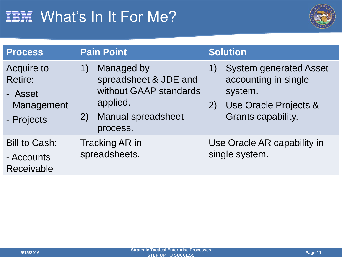

| <b>Process</b>                                                             | <b>Pain Point</b>                                                                                                               | <b>Solution</b>                                                                                                             |  |  |
|----------------------------------------------------------------------------|---------------------------------------------------------------------------------------------------------------------------------|-----------------------------------------------------------------------------------------------------------------------------|--|--|
| <b>Acquire to</b><br><b>Retire:</b><br>- Asset<br>Management<br>- Projects | Managed by<br>1)<br>spreadsheet & JDE and<br>without GAAP standards<br>applied.<br><b>Manual spreadsheet</b><br>(2)<br>process. | <b>System generated Asset</b><br>1)<br>accounting in single<br>system.<br>Use Oracle Projects &<br>2)<br>Grants capability. |  |  |
| <b>Bill to Cash:</b><br>- Accounts<br>Receivable                           | Tracking AR in<br>spreadsheets.                                                                                                 | Use Oracle AR capability in<br>single system.                                                                               |  |  |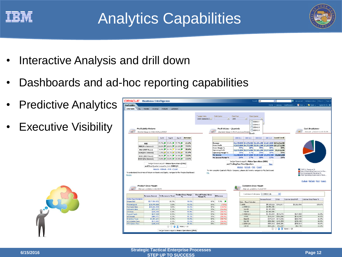



- Interactive Analysis and drill down
- Dashboards and ad-hoc reporting capabilities
- Predictive Analytics
- **Executive Visibility**



| <b>Profitability</b><br><b>UVErview</b>                                                              |                                             | ORACLE' Business Intelligence                                                             |                                                                                             |                                                    |                                                                                             |                                           |                                                              | Seath Al                         | v                     |                               | Ð                             | Advanced   Administration   Project   Sep Or                   |
|------------------------------------------------------------------------------------------------------|---------------------------------------------|-------------------------------------------------------------------------------------------|---------------------------------------------------------------------------------------------|----------------------------------------------------|---------------------------------------------------------------------------------------------|-------------------------------------------|--------------------------------------------------------------|----------------------------------|-----------------------|-------------------------------|-------------------------------|----------------------------------------------------------------|
|                                                                                                      |                                             |                                                                                           |                                                                                             |                                                    |                                                                                             |                                           |                                                              |                                  |                       |                               | Home   Calaidg   Bashboards v | New v   Bollocen v   Signed In As ER                           |
|                                                                                                      | <b>Linda, "I marrows"</b><br><b>Hevenue</b> | Products Lustomers                                                                        |                                                                                             |                                                    |                                                                                             |                                           |                                                              |                                  |                       |                               |                               |                                                                |
|                                                                                                      |                                             |                                                                                           |                                                                                             |                                                    |                                                                                             |                                           |                                                              |                                  |                       |                               |                               |                                                                |
|                                                                                                      |                                             |                                                                                           |                                                                                             | <sup>+</sup> Ladger Hame<br>Vision Operations (1 + | <b>Profit Conter</b><br>×.                                                                  | Fisial Year<br>2008                       | $\vert$                                                      | <b>Fissul Quarter</b>            |                       |                               |                               |                                                                |
|                                                                                                      |                                             |                                                                                           |                                                                                             |                                                    |                                                                                             |                                           |                                                              | $\Box$ 2008 $\odot$ 1<br>12000@2 |                       |                               |                               |                                                                |
|                                                                                                      | Profil ability Returns                      |                                                                                           |                                                                                             |                                                    | Profil & Loss - Quarterly                                                                   |                                           |                                                              | 1200893                          |                       |                               |                               | Cust Breakdown                                                 |
| <b>That</b>                                                                                          | Monthly Values for RCE, ROA and ROCE        |                                                                                           |                                                                                             | ist.                                               |                                                                                             | Overledy Values for Right and Loop Statem |                                                              | $\Box$ 2008 $\odot$ 1            |                       |                               |                               | This over UPACOLEA:(NLPB 2W)                                   |
|                                                                                                      |                                             |                                                                                           |                                                                                             |                                                    |                                                                                             |                                           | Bearch.                                                      |                                  |                       |                               |                               |                                                                |
|                                                                                                      |                                             | 3,648<br>Aug-69                                                                           | <b><i><u>QVPLANE</u></i></b><br>$540 - 01$                                                  |                                                    |                                                                                             | 2009-011                                  | 2001-012                                                     | 000002                           | 2001 Q.4 Firand Total |                               |                               |                                                                |
|                                                                                                      | <b>ROE</b>                                  | 22.2%   19.4%   22.7%                                                                     | 21.5%                                                                                       |                                                    | Revenue                                                                                     |                                           | \$5,749,000 \$7,275,000 \$5,331,000 \$5,607,000 \$23,526,000 |                                  |                       |                               |                               |                                                                |
|                                                                                                      | <b>ROC [Pre-Internal]</b>                   | 20.0% / 20.0% / 24.0% / 2                                                                 | 23.146                                                                                      |                                                    | <b>Gross Profile</b>                                                                        |                                           | \$3,023,000 \$4,372,000 \$2,911,000 \$3,265,000 \$13,571,000 |                                  |                       |                               |                               |                                                                |
|                                                                                                      |                                             | 16.8% 图 14.2% 四 17.6% 图                                                                   | 16.4%                                                                                       |                                                    | <b>Gross Margia %</b>                                                                       | 57%                                       | 68%                                                          | 55%                              | 58.95                 | 58%                           |                               |                                                                |
|                                                                                                      | <b>ROA (FRIT Ravis)</b>                     |                                                                                           | 11.4%                                                                                       |                                                    | <b>Operating Profit</b>                                                                     |                                           | \$1,875,000 \$2,971,000 \$1,521,000 \$1,975,000              |                                  |                       | \$5,342,000                   |                               |                                                                |
|                                                                                                      | KLIN (PVE-ITERFER)                          | $1.6\%$ $\frac{1}{10}$ $\left[10.1\%$ $\frac{1}{10}$ $\left[12.5\%$ $\frac{1}{10}\right]$ |                                                                                             |                                                    | Uperating margin 75<br>Net Income                                                           | 35%                                       | 41%<br>\$1,280,600 \$1,977,600 \$1,017,500 \$1,289,700       | 29%                              | 35%                   | 35%<br>\$5,565,500            |                               |                                                                |
|                                                                                                      | <b>BUCE (EBIT Basis)</b>                    | 34.6%  ■  30.2%  ■  34.9%  ■                                                              | 33.2%                                                                                       |                                                    | Net Income Plarges %                                                                        | 24%                                       | 27%                                                          | 19%                              | 23%                   | 24%                           |                               |                                                                |
|                                                                                                      | <b>ROCE (Dve Interest)</b>                  | Z3.8% P 20.8% P 24.8% P                                                                   | 23.1%                                                                                       |                                                    |                                                                                             |                                           |                                                              |                                  |                       |                               |                               |                                                                |
|                                                                                                      |                                             | Tedger Name is equal to Wiston Operations (USA).                                          |                                                                                             |                                                    |                                                                                             |                                           | Lecher Name is equal to Vision Operations (USA)              |                                  |                       |                               |                               |                                                                |
|                                                                                                      |                                             | and fiscal Quater is equal to j is in 2008 Q 3                                            |                                                                                             |                                                    |                                                                                             | and Trailing Four Fiscal Quarters         |                                                              |                                  | Maax                  |                               |                               |                                                                |
|                                                                                                      |                                             | Analyte - Refresh - Print - Export                                                        |                                                                                             |                                                    |                                                                                             |                                           | Analyze - Refresh - Print - Export                           |                                  |                       |                               |                               | COSS to Revenue %                                              |
|                                                                                                      |                                             |                                                                                           | To understand the crivers of Return on Assets and Equity, navigate to the Margins Dashboard |                                                    | To view complete Quarteris PSE by Company, please club in ere to mavigate to PSE Davidovard |                                           |                                                              |                                  |                       |                               |                               | Sales & Marketing Expenses to Rev                              |
| Margins                                                                                              |                                             |                                                                                           |                                                                                             | PAL.                                               |                                                                                             |                                           |                                                              |                                  |                       |                               |                               | ERAD Expenses to Revenue %<br>Other Operating Expenses to Reve |
|                                                                                                      |                                             |                                                                                           |                                                                                             |                                                    |                                                                                             |                                           |                                                              |                                  |                       |                               |                               |                                                                |
|                                                                                                      |                                             |                                                                                           |                                                                                             |                                                    |                                                                                             |                                           |                                                              |                                  |                       |                               |                               | Analyze - Refresh - Print - Export                             |
|                                                                                                      |                                             |                                                                                           |                                                                                             |                                                    |                                                                                             |                                           |                                                              |                                  |                       |                               |                               |                                                                |
|                                                                                                      | Product Gross Margin                        |                                                                                           |                                                                                             |                                                    |                                                                                             |                                           | <b>Curtains Gross Margin</b>                                 |                                  |                       |                               |                               |                                                                |
| an a                                                                                                 | Time run: I/I B(2011 G:00:16 RM             |                                                                                           |                                                                                             |                                                    |                                                                                             |                                           |                                                              | Time run: 1/18(2011 S.10:27 PM)  |                       |                               |                               |                                                                |
|                                                                                                      |                                             |                                                                                           |                                                                                             |                                                    |                                                                                             |                                           |                                                              |                                  |                       |                               |                               |                                                                |
|                                                                                                      | Reverse Assesse                             | G. Reverse to Tutal                                                                       | <b>Product Gross Margin</b>                                                                 | <b>Overall Product Gross</b>                       | <b>Difference</b>                                                                           |                                           |                                                              | Customer Entegacy COMMIREA       |                       | SF.                           |                               |                                                                |
| <b>Product Type Desolation</b>                                                                       |                                             |                                                                                           |                                                                                             | Margin %                                           |                                                                                             |                                           |                                                              |                                  |                       |                               |                               |                                                                |
| Unspecified                                                                                          | \$577.954.835                               | 91.3%                                                                                     | 99.8%                                                                                       | 97%                                                | 2.3%<br>п                                                                                   |                                           |                                                              |                                  | <b>Revenue Amount</b> | COG                           | Customer Gross Profit         | Customer Great Margin %                                        |
|                                                                                                      | \$18,799,006                                | 3.0%                                                                                      | 90.0%                                                                                       | 97%                                                | (7.5%)                                                                                      |                                           | Dolor Fixed Calendar<br><b>LAURI</b>                         |                                  | \$4,509,025 \$760,917 |                               | \$3,325 MM                    | 1.79.6%                                                        |
|                                                                                                      | \$30,666,904                                | 4.8%                                                                                      | 86.6%                                                                                       | 97%                                                | (10.8%                                                                                      |                                           | 同200801                                                      |                                  | <b>12.852.381</b>     |                               |                               |                                                                |
|                                                                                                      |                                             | £1%                                                                                       | 61.1%                                                                                       | 97%                                                | (36.4%)                                                                                     |                                           | Jan-08                                                       |                                  | \$1,427,391           |                               |                               |                                                                |
|                                                                                                      | \$53,972                                    |                                                                                           |                                                                                             | 27%                                                | (20.OM)                                                                                     |                                           | Feb-68                                                       |                                  | \$1,424,991           |                               |                               |                                                                |
|                                                                                                      | \$325,200                                   | 0.0%                                                                                      | 59.5%                                                                                       |                                                    |                                                                                             |                                           |                                                              |                                  |                       |                               | \$531,058                     |                                                                |
| Pinished good<br><b>Purchased item</b><br><b>Reference item</b><br><b>ATO Ears</b><br>Product Femily | \$547,529                                   | 0.1%                                                                                      | 59.2%                                                                                       | 97%                                                | (20.7%)                                                                                     |                                           | <b>EL2008 Q 3</b>                                            |                                  |                       | \$1,152,831 \$613,776         |                               | 56.0%                                                          |
|                                                                                                      | \$469,471                                   | 0.1%                                                                                      | 59.1%                                                                                       | 97%                                                | $(38.3\%)$                                                                                  |                                           | <b>JUNIN</b>                                                 |                                  |                       | \$255,257 \$105,866           | \$129,391                     | 101.06                                                         |
|                                                                                                      | \$1,281,621                                 | 0.2%                                                                                      | 58.8%                                                                                       | 97%                                                | (38.7%                                                                                      |                                           | Aug-03                                                       |                                  |                       | \$379,014 \$170,556           | \$208,458                     | 56.0%                                                          |
| ATO model<br><b>Inventory Type</b><br>ATO Chien Class                                                | \$671,095                                   | 0.1%                                                                                      | 56.6%                                                                                       | 97%                                                | (38,9%)                                                                                     |                                           | 5cp 08                                                       |                                  |                       | \$538,562 \$242,353           | \$296,209                     | 56.0%                                                          |
| PTD Collan Class                                                                                     | 4145,343                                    | 0.0%                                                                                      | R4.4%<br>☆ ☆ → \$ ROWS 1-10                                                                 | 07%.                                               | (30, 0)(1)                                                                                  |                                           | $-200804$<br>04.08                                           |                                  | 4101,005              | #583,812 #245,201<br>\$12,507 | \$338,611<br>\$59,700         | 59.6%<br>59.6%                                                 |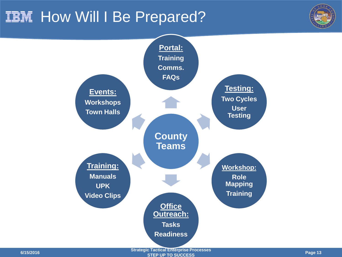### **IIII How Will I Be Prepared?**





**STEP UP TO SUCCESS Page 13**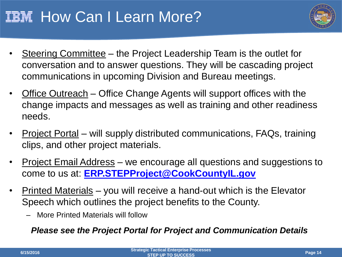## **IBM How Can I Learn More?**



- Steering Committee the Project Leadership Team is the outlet for conversation and to answer questions. They will be cascading project communications in upcoming Division and Bureau meetings.
- Office Outreach Office Change Agents will support offices with the change impacts and messages as well as training and other readiness needs.
- Project Portal will supply distributed communications, FAQs, training clips, and other project materials.
- Project Email Address we encourage all questions and suggestions to come to us at: **[ERP.STEPProject@CookCountyIL.gov](mailto:ERP.STEPProject@CookCountyIL.gov)**
- Printed Materials you will receive a hand-out which is the Elevator Speech which outlines the project benefits to the County.
	- More Printed Materials will follow

*Please see the Project Portal for Project and Communication Details*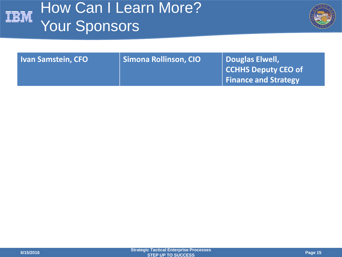

# How Can I Learn More? Your Sponsors



| <b>Ivan Samstein, CFO</b> | Simona Rollinson, CIO | Douglas Elwell,             |
|---------------------------|-----------------------|-----------------------------|
|                           |                       | <b>CCHHS Deputy CEO of</b>  |
|                           |                       | <b>Finance and Strategy</b> |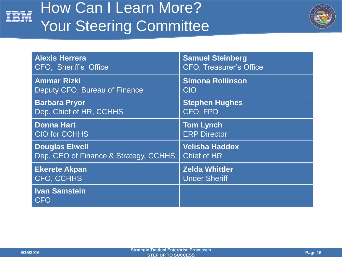

# How Can I Learn More? Your Steering Committee



| <b>Alexis Herrera</b>                 | <b>Samuel Steinberg</b>        |
|---------------------------------------|--------------------------------|
| CFO, Sheriff's Office                 | <b>CFO. Treasurer's Office</b> |
| <b>Ammar Rizki</b>                    | <b>Simona Rollinson</b>        |
| Deputy CFO, Bureau of Finance         | CIO                            |
| <b>Barbara Pryor</b>                  | <b>Stephen Hughes</b>          |
| Dep. Chief of HR, CCHHS               | CFO, FPD                       |
| <b>Donna Hart</b>                     | <b>Tom Lynch</b>               |
| <b>CIO for CCHHS</b>                  | <b>ERP Director</b>            |
| <b>Douglas Elwell</b>                 | <b>Velisha Haddox</b>          |
| Dep. CEO of Finance & Strategy, CCHHS | <b>Chief of HR</b>             |
| <b>Ekerete Akpan</b>                  | <b>Zelda Whittler</b>          |
| <b>CFO, CCHHS</b>                     | <b>Under Sheriff</b>           |
| <b>Ivan Samstein</b><br><b>CFO</b>    |                                |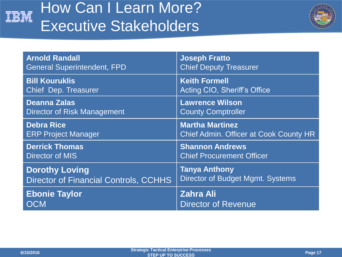

# How Can I Learn More? Executive Stakeholders



| <b>Arnold Randall</b>                        | <b>Joseph Fratto</b>                          |
|----------------------------------------------|-----------------------------------------------|
| <b>General Superintendent, FPD</b>           | <b>Chief Deputy Treasurer</b>                 |
| <b>Bill Kouruklis</b>                        | <b>Keith Formell</b>                          |
| <b>Chief Dep. Treasurer</b>                  | Acting CIO, Sheriff's Office                  |
| <b>Deanna Zalas</b>                          | <b>Lawrence Wilson</b>                        |
| <b>Director of Risk Management</b>           | <b>County Comptroller</b>                     |
| <b>Debra Rice</b>                            | <b>Martha Martinez</b>                        |
| <b>ERP Project Manager</b>                   | <b>Chief Admin. Officer at Cook County HR</b> |
| <b>Derrick Thomas</b>                        | <b>Shannon Andrews</b>                        |
| <b>Director of MIS</b>                       | <b>Chief Procurement Officer</b>              |
| <b>Dorothy Loving</b>                        | <b>Tanya Anthony</b>                          |
| <b>Director of Financial Controls, CCHHS</b> | Director of Budget Mgmt. Systems              |
| <b>Ebonie Taylor</b>                         | <b>Zahra Ali</b>                              |
| <b>OCM</b>                                   | <b>Director of Revenue</b>                    |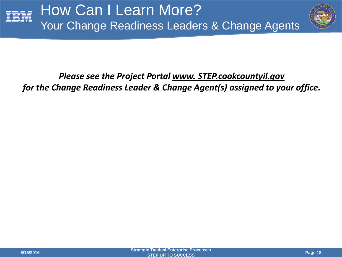

#### *Please see the Project Portal www. STEP.cookcountyil.gov for the Change Readiness Leader & Change Agent(s) assigned to your office.*